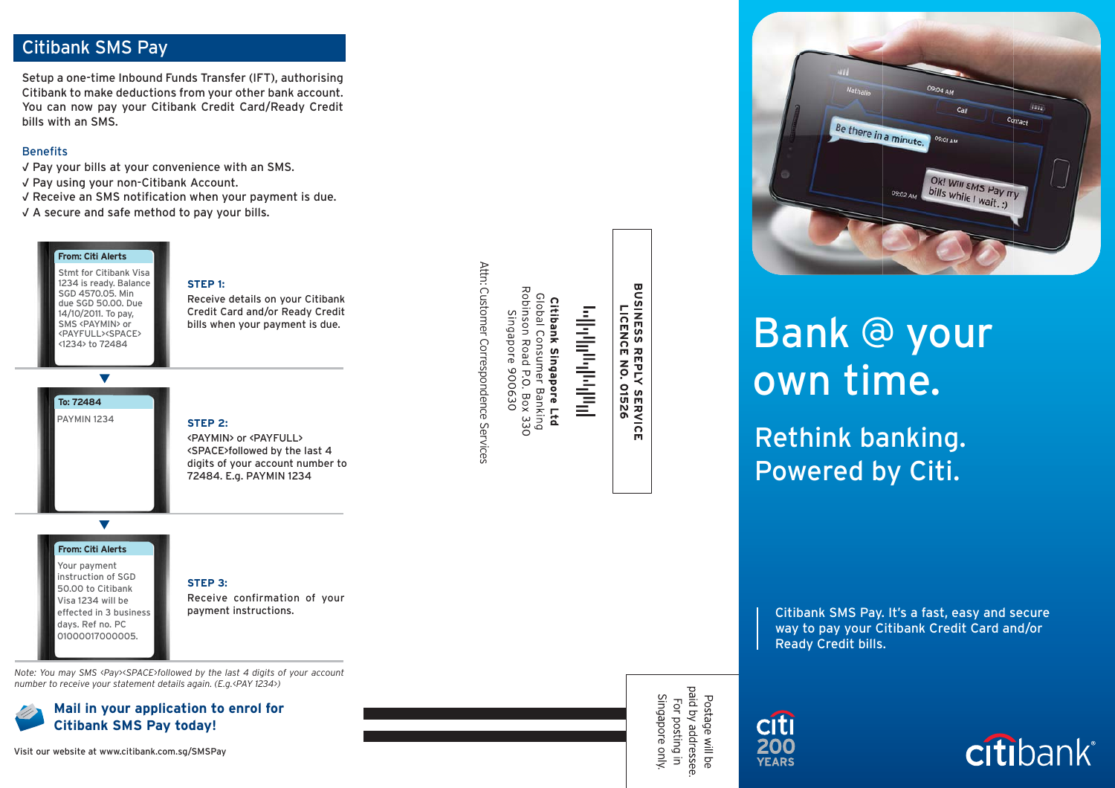#### Citibank SMS Pay

Setup a one-time Inbound Funds Transfer (IFT), authorising Citibank to make deductions from your other bank account. You can now pay your Citibank Credit Card/Ready Credit bills with an SMS.

#### **Benefits**

- √ Pay your bills at your convenience with an SMS.
- √ Pay using your non-Citibank Account.
- √ Receive an SMS notification when your payment is due.
- √ A secure and safe method to pay your bills.

#### **From: Citi Alerts**

Stmt for Citibank Visa 1234 is ready. Balance SGD 4570.05. Min due SGD 50.00. Due 14/10/2011. To pay, SMS <PAYMIN> or <PAYFULL><SPACE><1234> to 72484

PAYMIN 1234

**To: 72484**

#### **STEP 1:**

Receive details on your Citibank Credit Card and/or Ready Credit bills when your payment is due.

#### **STEP 2:**

<PAYMIN> or <PAYFULL> <SPACE>followed by the last 4 digits of your account number to 72484. E.g. PAYMIN 1234

#### $\overline{\phantom{0}}$

#### **From: Citi Alerts**

Your payment instruction of SGD 50.00 to Citibank Visa 1234 will be effected in 3 business days. Ref no. PC 01000017000005.

### **STEP 3:**

Receive confirmation of your payment instructions.

*Note: You may SMS <Pay><SPACE>followed by the last 4 digits of your account number to receive your statement details again. (E.g.<PAY 1234>)*



#### **Mail in your application to enrol for Citibank SMS Pay today!**

Visit our website at www.citibank.com.sg/SMSPay

Attn: Customer Correspondence Services Attn: Customer Correspondence Services

Global Consumer Banking<br>Robinson Road P.O. Box 330<br>Singapore 900630 Citibank Singapore Ltd

# وبالباراليوناويا والمال

**BUSINESS REPLY SERVICE<br>DUSINESS REPLY SERVICE** 

Postage will be<br>paid by addressee.<br>For posting in<br>Singapore only.



## Bank @ your own time.

Rethink banking. Powered by Citi.

Citibank SMS Pay. It's a fast, easy and secure way to pay your Citibank Credit Card and/or Ready Credit bills.